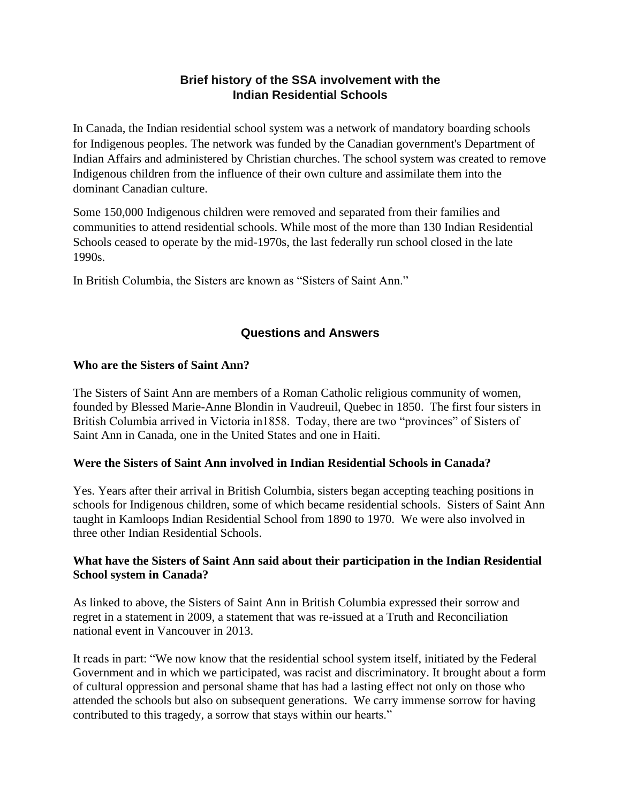## **Brief history of the SSA involvement with the Indian Residential Schools**

In Canada, the Indian residential school system was a network of mandatory boarding schools for Indigenous peoples. The network was funded by the Canadian government's Department of Indian Affairs and administered by Christian churches. The school system was created to remove Indigenous children from the influence of their own culture and assimilate them into the dominant Canadian culture.

Some 150,000 Indigenous children were removed and separated from their families and communities to attend residential schools. While most of the more than 130 Indian Residential Schools ceased to operate by the mid-1970s, the last federally run school closed in the late 1990s.

In British Columbia, the Sisters are known as "Sisters of Saint Ann."

# **Questions and Answers**

### **Who are the Sisters of Saint Ann?**

The Sisters of Saint Ann are members of a Roman Catholic religious community of women, founded by Blessed Marie-Anne Blondin in Vaudreuil, Quebec in 1850. The first four sisters in British Columbia arrived in Victoria in1858. Today, there are two "provinces" of Sisters of Saint Ann in Canada, one in the United States and one in Haiti.

### **Were the Sisters of Saint Ann involved in Indian Residential Schools in Canada?**

Yes. Years after their arrival in British Columbia, sisters began accepting teaching positions in schools for Indigenous children, some of which became residential schools. Sisters of Saint Ann taught in Kamloops Indian Residential School from 1890 to 1970. We were also involved in three other Indian Residential Schools.

### **What have the Sisters of Saint Ann said about their participation in the Indian Residential School system in Canada?**

As linked to above, the Sisters of Saint Ann in British Columbia expressed their sorrow and regret in a statement in 2009, a statement that was re-issued at a Truth and Reconciliation national event in Vancouver in 2013.

It reads in part: "We now know that the residential school system itself, initiated by the Federal Government and in which we participated, was racist and discriminatory. It brought about a form of cultural oppression and personal shame that has had a lasting effect not only on those who attended the schools but also on subsequent generations. We carry immense sorrow for having contributed to this tragedy, a sorrow that stays within our hearts."